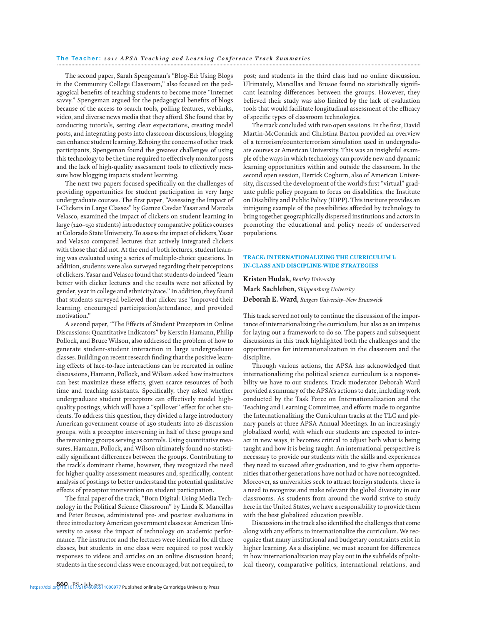The second paper, Sarah Spengeman's "Blog-Ed: Using Blogs in the Community College Classroom," also focused on the pedagogical benefits of teaching students to become more "Internet savvy." Spengeman argued for the pedagogical benefits of blogs because of the access to search tools, polling features, weblinks, video, and diverse news media that they afford. She found that by conducting tutorials, setting clear expectations, creating model posts, and integrating posts into classroom discussions, blogging can enhance student learning. Echoing the concerns of other track participants, Spengeman found the greatest challenges of using this technology to be the time required to effectively monitor posts and the lack of high-quality assessment tools to effectively measure how blogging impacts student learning.

The next two papers focused specifically on the challenges of providing opportunities for student participation in very large undergraduate courses. The first paper, "Assessing the Impact of I-Clickers in Large Classes" by Gamze Cavdar Yasar and Marcela Velasco, examined the impact of clickers on student learning in large (120–150 students) introductory comparative politics courses at Colorado State University.To assess the impact of clickers,Yasar and Velasco compared lectures that actively integrated clickers with those that did not. At the end of both lectures, student learning was evaluated using a series of multiple-choice questions. In addition, students were also surveyed regarding their perceptions of clickers.Yasar andVelasco found that students do indeed "learn better with clicker lectures and the results were not affected by gender, year in college and ethnicity/race." In addition, they found that students surveyed believed that clicker use "improved their learning, encouraged participation/attendance, and provided motivation."

A second paper, "The Effects of Student Preceptors in Online Discussions: Quantitative Indicators" by Kerstin Hamann, Philip Pollock, and Bruce Wilson, also addressed the problem of how to generate student-student interaction in large undergraduate classes. Building on recent research finding that the positive learning effects of face-to-face interactions can be recreated in online discussions, Hamann, Pollock, and Wilson asked how instructors can best maximize these effects, given scarce resources of both time and teaching assistants. Specifically, they asked whether undergraduate student preceptors can effectively model highquality postings, which will have a "spillover" effect for other students. To address this question, they divided a large introductory American government course of 250 students into 26 discussion groups, with a preceptor intervening in half of these groups and the remaining groups serving as controls. Using quantitative measures, Hamann, Pollock, and Wilson ultimately found no statistically significant differences between the groups. Contributing to the track's dominant theme, however, they recognized the need for higher quality assessment measures and, specifically, content analysis of postings to better understand the potential qualitative effects of preceptor intervention on student participation.

The final paper of the track, "Born Digital: Using Media Technology in the Political Science Classroom" by Linda K. Mancillas and Peter Brusoe, administered pre- and posttest evaluations in three introductory American government classes at American University to assess the impact of technology on academic performance. The instructor and the lectures were identical for all three classes, but students in one class were required to post weekly responses to videos and articles on an online discussion board; students in the second class were encouraged, but not required, to

post; and students in the third class had no online discussion. Ultimately, Mancillas and Brusoe found no statistically significant learning differences between the groups. However, they believed their study was also limited by the lack of evaluation tools that would facilitate longitudinal assessment of the efficacy of specific types of classroom technologies.

The track concluded with two open sessions. In the first, David Martin-McCormick and Christina Barton provided an overview of a terrorism/counterterrorism simulation used in undergraduate courses at American University. This was an insightful example of the ways in which technology can provide new and dynamic learning opportunities within and outside the classroom. In the second open session, Derrick Cogburn, also of American University, discussed the development of the world's first "virtual" graduate public policy program to focus on disabilities, the Institute on Disability and Public Policy (IDPP). This institute provides an intriguing example of the possibilities afforded by technology to bring together geographically dispersed institutions and actors in promoting the educational and policy needs of underserved populations.

## TRACK: INTERNATIONALIZING THE CURRICULUM I: IN-CLASS AND DISCIPLINE-WIDE STRATEGIES

**Kristen Hudak,** *Bentley University* **Mark Sachleben,** *Shippensburg University* **Deborah E. Ward,** *Rutgers University–New Brunswick*

This track served not only to continue the discussion of the importance of internationalizing the curriculum, but also as an impetus for laying out a framework to do so. The papers and subsequent discussions in this track highlighted both the challenges and the opportunities for internationalization in the classroom and the discipline.

Through various actions, the APSA has acknowledged that internationalizing the political science curriculum is a responsibility we have to our students. Track moderator Deborah Ward provided a summary of the APSA's actions to date, including work conducted by the Task Force on Internationalization and the Teaching and Learning Committee, and efforts made to organize the Internationalizing the Curriculum tracks at the TLC and plenary panels at three APSA Annual Meetings. In an increasingly globalized world, with which our students are expected to interact in new ways, it becomes critical to adjust both what is being taught and how it is being taught. An international perspective is necessary to provide our students with the skills and experiences they need to succeed after graduation, and to give them opportunities that other generations have not had or have not recognized. Moreover, as universities seek to attract foreign students, there is a need to recognize and make relevant the global diversity in our classrooms. As students from around the world strive to study here in the United States, we have a responsibility to provide them with the best globalized education possible.

Discussions in the track also identified the challenges that come along with any efforts to internationalize the curriculum. We recognize that many institutional and budgetary constraints exist in higher learning. As a discipline, we must account for differences in how internationalization may play out in the subfields of political theory, comparative politics, international relations, and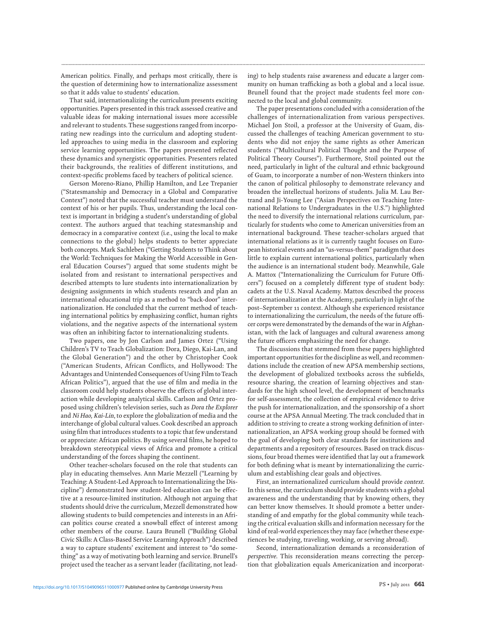American politics. Finally, and perhaps most critically, there is the question of determining how to internationalize assessment so that it adds value to students' education.

That said, internationalizing the curriculum presents exciting opportunities. Papers presented in this track assessed creative and valuable ideas for making international issues more accessible and relevant to students. These suggestions ranged from incorporating new readings into the curriculum and adopting studentled approaches to using media in the classroom and exploring service learning opportunities. The papers presented reflected these dynamics and synergistic opportunities. Presenters related their backgrounds, the realities of different institutions, and context-specific problems faced by teachers of political science.

Gerson Moreno-Riano, Phillip Hamilton, and Lee Trepanier ("Statesmanship and Democracy in a Global and Comparative Context") noted that the successful teacher must understand the context of his or her pupils. Thus, understanding the local context is important in bridging a student's understanding of global context. The authors argued that teaching statesmanship and democracy in a comparative context (i.e., using the local to make connections to the global) helps students to better appreciate both concepts. Mark Sachleben ("Getting Students to Think about the World: Techniques for Making the World Accessible in General Education Courses") argued that some students might be isolated from and resistant to international perspectives and described attempts to lure students into internationalization by designing assignments in which students research and plan an international educational trip as a method to "back-door" internationalization. He concluded that the current method of teaching international politics by emphasizing conflict, human rights violations, and the negative aspects of the international system was often an inhibiting factor to internationalizing students.

Two papers, one by Jon Carlson and James Ortez ("Using Children's TV to Teach Globalization: Dora, Diego, Kai-Lan, and the Global Generation") and the other by Christopher Cook ("American Students, African Conflicts, and Hollywood: The Advantages and Unintended Consequences of Using Film to Teach African Politics"), argued that the use of film and media in the classroom could help students observe the effects of global interaction while developing analytical skills. Carlson and Ortez proposed using children's television series, such as *Dora the Explorer* and *Ni Hao, Kai-Lin*, to explore the globalization of media and the interchange of global cultural values. Cook described an approach using film that introduces students to a topic that few understand or appreciate: African politics. By using several films, he hoped to breakdown stereotypical views of Africa and promote a critical understanding of the forces shaping the continent.

Other teacher-scholars focused on the role that students can play in educating themselves. Ann Marie Mezzell ("Learning by Teaching: A Student-Led Approach to Internationalizing the Discipline") demonstrated how student-led education can be effective at a resource-limited institution. Although not arguing that students should drive the curriculum, Mezzell demonstrated how allowing students to build competencies and interests in an African politics course created a snowball effect of interest among other members of the course. Laura Brunell ("Building Global Civic Skills: A Class-Based Service Learning Approach") described a way to capture students' excitement and interest to "do something" as a way of motivating both learning and service. Brunell's project used the teacher as a servant leader (facilitating, not leading) to help students raise awareness and educate a larger community on human trafficking as both a global and a local issue. Brunell found that the project made students feel more connected to the local and global community.

**.............................................................................................................................................................................................................................................................**

The paper presentations concluded with a consideration of the challenges of internationalization from various perspectives. Michael Jon Stoil, a professor at the University of Guam, discussed the challenges of teaching American government to students who did not enjoy the same rights as other American students ("Multicultural Political Thought and the Purpose of Political Theory Courses"). Furthermore, Stoil pointed out the need, particularly in light of the cultural and ethnic background of Guam, to incorporate a number of non-Western thinkers into the canon of political philosophy to demonstrate relevancy and broaden the intellectual horizons of students. Julia M. Lau Bertrand and Ji-Young Lee ("Asian Perspectives on Teaching International Relations to Undergraduates in the U.S.") highlighted the need to diversify the international relations curriculum, particularly for students who come to American universities from an international background. These teacher-scholars argued that international relations as it is currently taught focuses on European historical events and an "us-versus-them" paradigm that does little to explain current international politics, particularly when the audience is an international student body. Meanwhile, Gale A. Mattox ("Internationalizing the Curriculum for Future Officers") focused on a completely different type of student body: cadets at the U.S. Naval Academy. Mattox described the process of internationalization at the Academy, particularly in light of the post–September 11 context. Although she experienced resistance to internationalizing the curriculum, the needs of the future officer corps were demonstrated by the demands of the war in Afghanistan, with the lack of languages and cultural awareness among the future officers emphasizing the need for change.

The discussions that stemmed from these papers highlighted important opportunities for the discipline as well, and recommendations include the creation of new APSA membership sections, the development of globalized textbooks across the subfields, resource sharing, the creation of learning objectives and standards for the high school level, the development of benchmarks for self-assessment, the collection of empirical evidence to drive the push for internationalization, and the sponsorship of a short course at the APSA Annual Meeting. The track concluded that in addition to striving to create a strong working definition of internationalization, an APSA working group should be formed with the goal of developing both clear standards for institutions and departments and a repository of resources. Based on track discussions, four broad themes were identified that lay out a framework for both defining what is meant by internationalizing the curriculum and establishing clear goals and objectives.

First, an internationalized curriculum should provide *context*. In this sense, the curriculum should provide students with a global awareness and the understanding that by knowing others, they can better know themselves. It should promote a better understanding of and empathy for the global community while teaching the critical evaluation skills and information necessary for the kind of real-world experiences they may face (whether these experiences be studying, traveling, working, or serving abroad).

Second, internationalization demands a reconsideration of *perspective*. This reconsideration means correcting the perception that globalization equals Americanization and incorporat